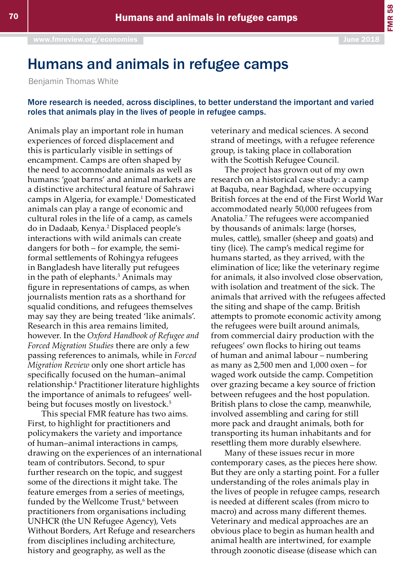## Humans and animals in refugee camps

Benjamin Thomas White

## More research is needed, across disciplines, to better understand the important and varied roles that animals play in the lives of people in refugee camps.

Animals play an important role in human experiences of forced displacement and this is particularly visible in settings of encampment. Camps are often shaped by the need to accommodate animals as well as humans: 'goat barns' and animal markets are a distinctive architectural feature of Sahrawi camps in Algeria, for example.<sup>1</sup> Domesticated animals can play a range of economic and cultural roles in the life of a camp, as camels do in Dadaab, Kenya.<sup>2</sup> Displaced people's interactions with wild animals can create dangers for both – for example, the semiformal settlements of Rohingya refugees in Bangladesh have literally put refugees in the path of elephants.<sup>3</sup> Animals may figure in representations of camps, as when journalists mention rats as a shorthand for squalid conditions, and refugees themselves may say they are being treated 'like animals'. Research in this area remains limited, however. In the *Oxford Handbook of Refugee and Forced Migration Studies* there are only a few passing references to animals, while in *Forced Migration Review* only one short article has specifically focused on the human–animal relationship.4 Practitioner literature highlights the importance of animals to refugees' wellbeing but focuses mostly on livestock.<sup>5</sup>

This special FMR feature has two aims. First, to highlight for practitioners and policymakers the variety and importance of human–animal interactions in camps, drawing on the experiences of an international team of contributors. Second, to spur further research on the topic, and suggest some of the directions it might take. The feature emerges from a series of meetings, funded by the Wellcome Trust,<sup>6</sup> between practitioners from organisations including UNHCR (the UN Refugee Agency), Vets Without Borders, Art Refuge and researchers from disciplines including architecture, history and geography, as well as the

veterinary and medical sciences. A second strand of meetings, with a refugee reference group, is taking place in collaboration with the Scottish Refugee Council.

The project has grown out of my own research on a historical case study: a camp at Baquba, near Baghdad, where occupying British forces at the end of the First World War accommodated nearly 50,000 refugees from Anatolia.7 The refugees were accompanied by thousands of animals: large (horses, mules, cattle), smaller (sheep and goats) and tiny (lice). The camp's medical regime for humans started, as they arrived, with the elimination of lice; like the veterinary regime for animals, it also involved close observation, with isolation and treatment of the sick. The animals that arrived with the refugees affected the siting and shape of the camp. British attempts to promote economic activity among the refugees were built around animals, from commercial dairy production with the refugees' own flocks to hiring out teams of human and animal labour – numbering as many as 2,500 men and 1,000 oxen – for waged work outside the camp. Competition over grazing became a key source of friction between refugees and the host population. British plans to close the camp, meanwhile, involved assembling and caring for still more pack and draught animals, both for transporting its human inhabitants and for resettling them more durably elsewhere.

Many of these issues recur in more contemporary cases, as the pieces here show. But they are only a starting point. For a fuller understanding of the roles animals play in the lives of people in refugee camps, research is needed at different scales (from micro to macro) and across many different themes. Veterinary and medical approaches are an obvious place to begin as human health and animal health are intertwined, for example through zoonotic disease (disease which can